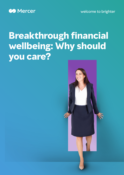welcome to brighter



# **Breakthrough financial wellbeing: Why should you care?**

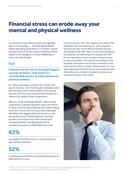### **Financial stress can erode away your mental and physical wellness**

For some time now, Mental Health has rightfully been in the spotlight — and with World Mental Health Day being observed on 10 October, it bears looking at one of the key causes impacting mental health in the workplace: Financial Wellbeing (or rather the lack thereof).

#### **Fact**

**Finances can be one of the single biggest sources of stress—and stress is a considerable barrier to both mental and physical wellness**

For many employees, money is the number one source of stress. And if we thought employees were worried about their finances before, we can only assume that worry has increased dramatically as a result of the global COVID-19 pandemic.

Mercer's Inside Employees Minds™ report asked 3,000 workers globally questions about the extent to which financial stress affected their work, finding that 62% of those who are financially challenged identified their biggest financial concern as not being able to pay monthly expenses. Perhaps equally concerning is that 52% of employees surveyed globally $1$  said they would find an unexpected expense of \$400 difficult to cover.



say biggest financial concern is not being able to pay monthly expenses

### **52%**

of employees would find an unexpected expense of \$400 difficult to cover

Closer to home in the UAE, research has shown that employees are not preparing for their long-term financial security. In the Mercer *Financial Security and Savings in the UAE*2 report, 61% of the employees surveyed do not have long term savings and 45% do not have plans to save, except to keep working as long as possible. The majority are relying on the employer sponsored end-of-service benefits as the main source of their savings. Unfortunately, it is not well understood that this end-of-service benefit falls materially short of what is needed to maintain our standard of living in the future.



<sup>1</sup> Mercer's 2020 Global Talent Trends Report [\(https://www.mercer.com/our-thinking/career/global-talent-hr-trends.html\)](https://www.mercer.com/our-thinking/career/global-talent-hr-trends.html)

<sup>2</sup> <https://www.me.mercer.com/our-thinking/rethinking-financial-security-in-the-uae.html>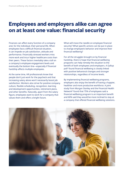## **Employees and employers alike can agree on at least one value: financial security**

Finances can affect every function of a company and, for the individual, their personal life. When employees face a difficult financial situation, it can impede on job satisfaction, attitude and performance. Financially stressed workers miss more work and incur higher healthcare costs than their peers. These factors inevitably take a toll on a company's employee engagement levels and eventually the bottom line—especially if financial hardship affects multiple employees.

At the same time, HR professionals know that people don't just work for the paycheck and that increasing salary alone won't necessarily boost job satisfaction. Workers also strive for positive company culture, flexible scheduling, recognition, learning and development opportunities, retirement plans, and other benefits. Naturally, apart from the salary figure, employees want to work for a company that values them and offers a bright future.

What will move the needle on employee financial security? What specific actions can be put in place to change employee's behavior and improve their financial wellbeing?

For all the struggles brought on by financial hardship, there is hope that financial wellbeing programs can help remedy the situation to the benefit of both employees and employers. A Gallup poll3 found financial wellbeing is closely linked with positive behavioral changes and stronger relationships, regardless of income levels.

By implementing financial wellbeing programs, employers also enjoy the benefit of having a happier, healthier and more productive workforce. A joint study from Morgan Stanley and the Financial Health Network4 found that 75% of employees said a financial wellbeing program is an important benefit and 60% said they would be more inclined to stay at a company that offered financial wellbeing solutions.

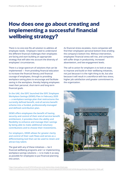## **How does one go about creating and implementing a successful financial wellbeing strategy?**

There is no one-size-fits-all solution to address all employee needs. Employers need to understand the different financial challenges their employees are facing and start building an appropriate strategy that will take into account the diversity of employees' circumstances.

There is a large spectrum of solutions that can be implemented — from providing financial education to increase the financial literacy and financial courage of employees, through to providing workplace saving plans to encourage and facilitate saving in the workplace, thereby helping employees meet their personal, short-term and long-term financial goals.

**In the UAE, the DIFC launched the DIFC Employee Workplace Savings (DEWS) Plan in February 2020 — a workplace savings plan that restructures the currently defined benefit, end-of-service benefit scheme into a funded, professionally-managed and defined contribution plan.** 

**DEWS offers employees the benefit of having security and control of their end-of-service benefit entitlement, it provides them the ability and flexibility to enhance and manage their savings by being able to make additional voluntary contributions and to choose their investments.**

**For employers, DEWS allows for greater clarity and control of their cash flows and serves as a differentiating tool that can be used to retain and attract key talent.** 

The goal with any of these initiatives — be it financial wellbeing programs and / or implementing workplace savings solutions — is to make it as easy as possible for employees to put financial planning into action.

As financial stress escalates, more companies will find their employees' personal bottom lines eroding the company's bottom line. Without intervention, employees' financial stress will rise, and companies will suffer drops in productivity, increased absenteeism, and low engagement levels.

The call to action for employers is to look at ways to improve and build on their wellbeing initiatives, not just because it is the right thing to do, but also because it will result in a workforce with less stress, higher job satisfaction and greater commitment to the organization.



<sup>3</sup> <https://news.gallup.com/poll/187616/financial-social-relationships-closely-linked.aspx>

<sup>4</sup> <https://s3.amazonaws.com/cfsi-innovation-files-2018/wp-content/uploads/2019/05/24163214/FHN-MorganStanley-Infographic- FINAL.pdf>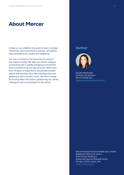#### **About Mercer**

At Mercer, we redefine the world of work, reshape retirement and investment outcomes, and define new possibilities for health and wellbeing.

Our aim is to look to the future by focusing on the needs of today. We help our clients navigate uncertainty and a rapidly changing environment that is transforming the way we work. With more than 70 years of experience, we provide trusted advice and solutions by understanding data and applying it with a human touch. We drive change by turning ideas into action, positioning our clients, colleagues and communities for the future.

#### **Author**



Claudia Maldonado Principal, DC Solutions Mercer Middle East [claudia.maldonado@mercer.com](mailto:claudia.maldonado%40mercer.com?subject=)

Mercer Financial Services Middle East Limited Registered Office 01B, Level 5 Gate Precinct Building 2 Dubai International Financial Centre P.O. Box 215306, Dubai, UAE [www.me.mercer.com](http://www.me.mercer.com)